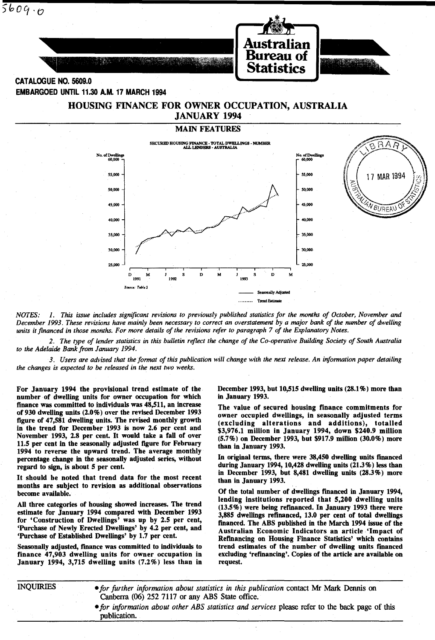

EMBARGOED UNTIL 11.30 A.M. 17 MARCH 1994 HOUSING FINANCE FOR OWNER OCCUPATION, AUSTRALIA



*NOTES:* 1, *This issue includes significant revisions to previously published statistics for the months of October, November and December* 1993, *These revisions have mainly been necessary to correct an overstatement by a major bank of the number of dwelling units it financed in those months. For more details of the revisions refer to paragraph* 7 *of the Explanatory Notes,* 

*2, The type of lender statistics in this bulletin reflect the change of the Co-operative Building Society of South Australia to the Adelaide Bank from January 1994,* 

*3, Users are advised that the format of this publication will change with the next release. An information paper detailing the changes is expected to be released in the next two weeks,* 

For January 1994 the provisional trend estimate of the number of dwelling units for owner occupation for which finance was committed to individuals was 48,511, an increase of 930 dwelling units (2.0%) over the revised December 1993 figure of 47,581 dwelling units. The revised monthly growth in the trend for December 1993 is now 2.6 per cent and November 1993, 2.8 per cent. It would take a fall of over 11.5 per cent in the seasonally adjusted figure for February 1994 to reverse the upward trend. The average monthly percentage change in the seasonally adjusted series, without regard to sign, is about 5 per cent.

It should be noted that trend data for the most recent months are subject to revision as additional observations become available.

All three categories of housing showed increases. The trend estimate for January 1994 compared with December 1993 for 'Construction of Dwellings' was up by 2.5 per cent, 'Purchase of Newly Erected Dwellings' by 4.2 per cent, and 'Purchase of Established DweUings' by 1.7 per cent.

Seasonally adjusted, fmance was committed to individuals to finance 47,903 dwelling units for owner. occupation in January 1994, 3,715 dwelling units (7.2%) less than in December 1993, but 10,515 dwelling units (28.1 %) more than in January 1993.

The value of secured housing finance commitments for owner occupied dwellings, in seasonally adjusted terms (excluding alterations and additions), totalled \$3,976.1 million in January 1994, down \$240.9 million (5.7%) on December 1993, but \$917.9 million (30.0%) more than in January 1993.

In original terms, there were 38,450 dweUing units financed during January 1994,10,428 dwelling units (21.3%) less than in December 1993, but 8,481 dwelling units (28.3%) more than in January 1993.

Of the total number of dweUings fmanced in January 1994, lending institutions reported that 5,200 dwelling units  $(13.5\%)$  were being refinanced. In January 1993 there were 3,885 dweUings refinanced, 13.0 per cent of total dwellings financed. The ABS published in the March 1994 issue of the Australian Economic Indicators an article· 'Impact of Refinancing on Housing Finance Statistics' which contains trend estimates of the number of dwelling units fmanced excluding 'refmancing'. Copies of the article are available on request.

INQUIRIES *• for further information about statistics in this publication* contact Mr Mark Dennis on Canberra (06) 252 7117 or any ABS State office.

> $\bullet$  for information about other ABS statistics and services please refer to the back page of this publication.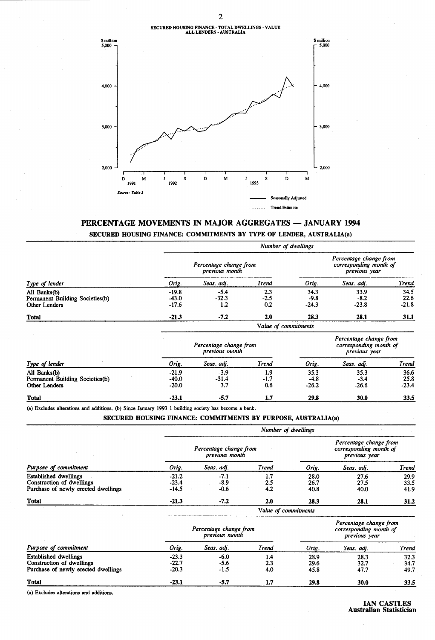# SECURED HOUSING FINANCE· TOTAL DWELLINGS· VALUE ALL LENDERS· AUSTRALIA



# PERCENTAGE MOVEMENTS IN MAJOR AGGREGATES - JANUARY 1994

SECURED HOUSING FINANCE: COMMITMENTS BY TYPE OF LENDER, AUSTRALIA(a)

|                                                                  |                               |                                          | Number of dwellings  |                           |                                                                   |                         |
|------------------------------------------------------------------|-------------------------------|------------------------------------------|----------------------|---------------------------|-------------------------------------------------------------------|-------------------------|
|                                                                  |                               | Percentage change from<br>previous month |                      |                           | Percentage change from<br>corresponding month of<br>previous year |                         |
| Type of lender                                                   | Orig.                         | Seas. adj.                               | <b>Trend</b>         | Orig.                     | Seas. adj.                                                        | Trend                   |
| All Banks(b)<br>Permanent Building Societies(b)<br>Other Lenders | $-19.8$<br>$-43.0$<br>$-17.6$ | $-5.4$<br>$-32.3$<br>1.2                 | 2.3<br>$-2.5$<br>0.2 | 34.3<br>$-9.8$<br>$-24.3$ | 33.9<br>$-8.2$<br>$-23.8$                                         | 34.5<br>22.6<br>$-21.8$ |
| <b>Total</b>                                                     | $-21.3$                       | $-7.2$                                   | 2.0                  | 28.3                      | 28.1                                                              | 31.1                    |
|                                                                  |                               |                                          | Value of commitments |                           |                                                                   |                         |
|                                                                  |                               | Percentage change from<br>previous month |                      |                           | Percentage change from<br>corresponding month of<br>previous year |                         |
| Type of lender                                                   | Orig.                         | Seas. adj.                               | Trend                | Orig.                     | Seas. adj.                                                        | Trend                   |
| All Banks(b)<br>Permanent Building Societies(b)<br>Other Lenders | $-21.9$<br>-40.0<br>-20.0     | $-3.9$<br>$-31.4$<br>3.7                 | 1.9<br>$-1.7$<br>0.6 | 35.3<br>$-4.8$<br>$-26.2$ | 35.3<br>$-3.4$<br>$-26.6$                                         | 36.6<br>25.8<br>$-23.4$ |
| <b>Total</b>                                                     | -23.1                         | -5.7                                     | 1.7                  | 29.8                      | 30.0                                                              | 33.5                    |

(a) Excludes alterations and additions. (b) Since January 1993 1 building society has become a bank.

#### SECURED HOUSING FINANCE: COMMITMENTS BY PURPOSE, AUSTRALIA(a)

|                                                                                                  |                               |                                          | Number of dwellings  |                      |                                                                   |                      |
|--------------------------------------------------------------------------------------------------|-------------------------------|------------------------------------------|----------------------|----------------------|-------------------------------------------------------------------|----------------------|
|                                                                                                  |                               | Percentage change from<br>previous month |                      |                      | Percentage change from<br>corresponding month of<br>previous year |                      |
| Purpose of commitment                                                                            | Orig.                         | Seas. adj.                               | <b>Trend</b>         | Orig.                | Seas. adj.                                                        | Trend                |
| Established dwellings<br>Construction of dwellings<br>Purchase of newly erected dwellings        | $-21.2$<br>$-23.4$<br>$-14.5$ | $-7.1$<br>$-8.9$<br>$-0.6$               | 1.7<br>2.5<br>4.2    | 28.0<br>26.7<br>40.8 | 27.6<br>27.5<br>40.0                                              | 29.9<br>33.5<br>41.9 |
| <b>Total</b>                                                                                     | $-21.3$                       | $-7.2$                                   | 2.0                  | 28.3                 | 28.1                                                              | 31.2                 |
|                                                                                                  |                               |                                          | Value of commitments |                      |                                                                   |                      |
|                                                                                                  |                               | Percentage change from<br>previous month |                      |                      | Percentage change from<br>corresponding month of<br>previous year |                      |
| Purpose of commitment                                                                            | Orig.                         | Seas. adj.                               | Trend                | Orig.                | Seas. adj.                                                        | Trend                |
| <b>Established dwellings</b><br>Construction of dwellings<br>Purchase of newly erected dwellings | $-23.3$<br>$-22.7$<br>$-20.3$ | $-6.0$<br>$-5.6$<br>$-1.5$               | 1.4<br>2.3<br>4.0    | 28.9<br>29.6<br>45.8 | 28.3<br>32.7<br>47.7                                              | 32.3<br>34.7<br>49.7 |
| <b>Total</b>                                                                                     | $-23.1$                       | $-5.7$                                   | 1.7                  | 29.8                 | 30.0                                                              | 33.5                 |

(a) Excludes alterations and additions.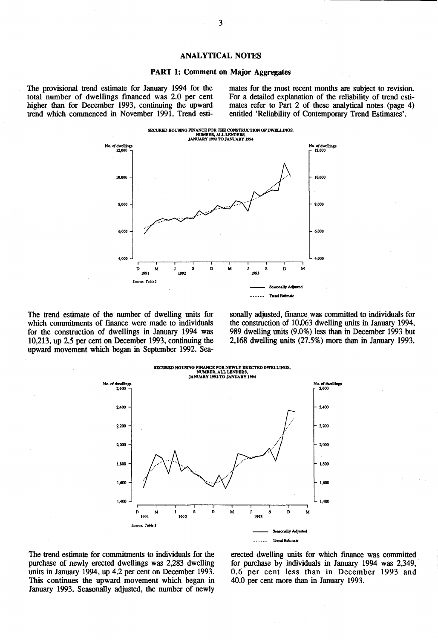#### ANALYTICAL NOTES

#### PART 1: Comment on Major Aggregates

The provisional trend estimate for January 1994 for the total number of dwellings financed was 2.0 per cent higher than for December 1993, continuing the upward trend which commenced in November 1991. Trend estimates for the most recent months are subject to revision. For a detailed explanation of the reliability of trend estimates refer to Part 2 of these analytical notes (page  $4$ ) entitled 'Reliability of Contemporary Trend Estimates'.



The trend estimate of the number of dwelling units for which commitments of finance were made to individuals for the construction of dwellings in January 1994 was 10,213, up 2.5 per cent on December 1993, continuing the upward movement which began in September 1992. Seasonally adjusted, finance was committed to individuals for the construction of 10,063 dwelling units in January 1994, 989 dwelling units (9.0%) less than in December 1993 but 2,168 dwelling units (27.5%) more than in January 1993.



The trend estimate for commitments to individuals for the purchase of newly erected dwellings was 2,283 dwelling units in January 1994, up 4.2 per cent on December 1993. This continues the upward movement which began in January 1993. Seasonally adjusted, the number of newly

erected dwelling units for which fmance was committed for purchase by individuals in January 1994 was 2,349, 0.6 per cent less than in December 1993 and 40.0 per cent more than in January 1993.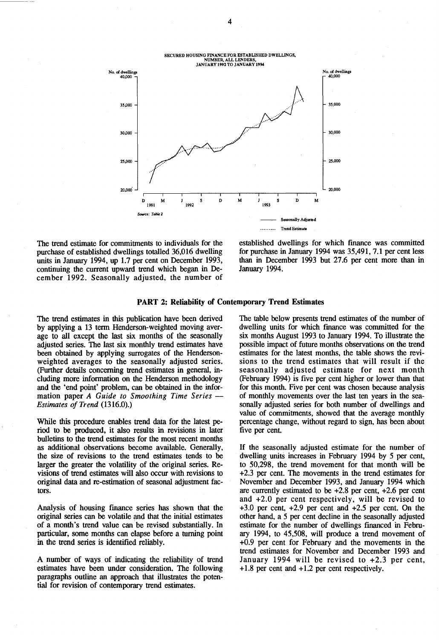

The trend estimate for commitments to individuals for the purchase of established dwellings totalled 36,016 dwelling units in January 1994, up 1.7 per cent on December 1993, continuing the current upward trend which began in December 1992. Seasonally adjusted, the number of

established dwellings for which finance was committed for purchase in January 1994 was 35,491, 7.1 per cent less than in December 1993 but 27.6 per cent more than in January 1994.

#### PART 2: Reliability of Contemporary Trend Estimates

The trend estimates in this publication have been derived by applying a 13 term Henderson-weighted moving average to all except the last six months of the seasonally adjusted series. The last six monthly trend estimates have been obtained by applying surrogates of the Hendersonweighted averages to the seasonally adjusted series. (Further details concerning trend estimates in general, including more information on the Henderson methodology and the 'end point' problem, can be obtained in the information paper *A Guide to Smoothing Time Series - Estimates of Trend (1316.0).)* 

While this procedure enables trend data for the latest period to be produced, it also results in revisions in later bulletins to the trend estimates for the most recent months as additional observations become available. Generally, the size of revisions to the trend estimates tends to be larger the greater the volatility of the original series. Revisions of trend estimates will also occur with revisions to original data and re-estimation of seasonal adjustment factors.

Analysis of housing finance series has shown that the original series can be volatile and that the initial estimates of a month's trend value can be revised substantially. In particular, some months can elapse before a turning point in the trend series is identified reliably.

A number of ways of indicating the reliability of trend estimates have been under consideration. The following paragraphs outline an approach that illustrates the potential for revision of contemporary trend estimates.

The table below presents trend estimates of the number of dwelling units for which finance was committed for the six months August 1993 to January 1994. To illustrate the possible impact of future months observations on the trend estimates for the latest months, the table shows the revisions to the trend estimates that will result if the seasonally adjusted estimate for next month (February 1994) is five per cent higher or lower than that for this month. Five per cent was chosen because analysis of monthly movements over the last ten years in the seasonally adjusted series for both number of dwellings and value of commitments, showed that the average monthly percentage change, without regard to sign, has been about five per cent.

If the seasonally adjusted estimate for the number of dwelling units increases in February 1994 by 5 per cent, to 50,298, the trend movement for that month will be +2.3 per cent. The movements in the trend estimates for November and December 1993, and January 1994 which are currently estimated to be +2.8 per cent, +2.6 per cent and +2.0 per cent respectively, will be revised to +3.0 per cent, +2.9 per cent and +2.5 per cent. On the other hand, a 5 per cent decline in the seasonally adjusted estimate for the number of dwellings financed in February 1994, to 45,508, will produce a trend movement of +0.9 per cent for February and the movements in the trend estimates for November and December 1993 and January 1994 will be revised to +2.3 per cent, + 1.8 per cent and + 1.2 per cent respectively.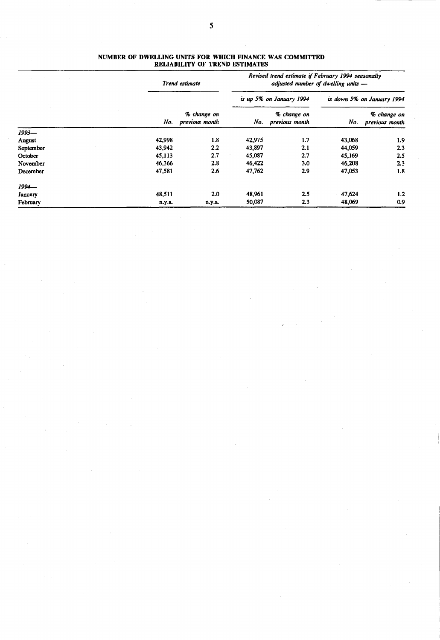|           |        | Trend estimate                |               | Revised trend estimate if February 1994 seasonally<br>adjusted number of dwelling units - |        |                               |
|-----------|--------|-------------------------------|---------------|-------------------------------------------------------------------------------------------|--------|-------------------------------|
|           |        |                               |               | is up 5% on January 1994                                                                  |        | is down 5% on January 1994    |
|           | No.    | % change on<br>previous month | No.           | % change on<br>previous month                                                             | No.    | % change on<br>previous month |
| $1993-$   |        |                               |               |                                                                                           |        |                               |
| August    | 42,998 | 1.8                           | 1.7<br>42,975 |                                                                                           | 43,068 | 1.9                           |
| September | 43,942 | $2.2\,$                       | 43,897        | 2.1                                                                                       | 44,059 | 2.3                           |
| October   | 45,113 | 2.7                           | 45,087        | 2.7                                                                                       | 45,169 | 2.5                           |
| November  | 46,366 | 2.8                           | 46,422        | 3.0                                                                                       | 46,208 | 2.3                           |
| December  | 47,581 | 2.6                           | 47,762        | 2.9                                                                                       | 47,053 | 1.8                           |
| $1994-$   |        |                               |               |                                                                                           |        |                               |
| January   | 48,511 | 2.0                           | 48,961        | 2.5                                                                                       | 47,624 | 1.2                           |
| February  | n.y.a. | n.y.a.                        | 50,087        | 2.3                                                                                       | 48,069 | 0.9                           |

#### NUMBER OF DWELLING UNITS FOR WHICH FINANCE WAS COMMITTED RELIABILITY OF TREND ESTIMATES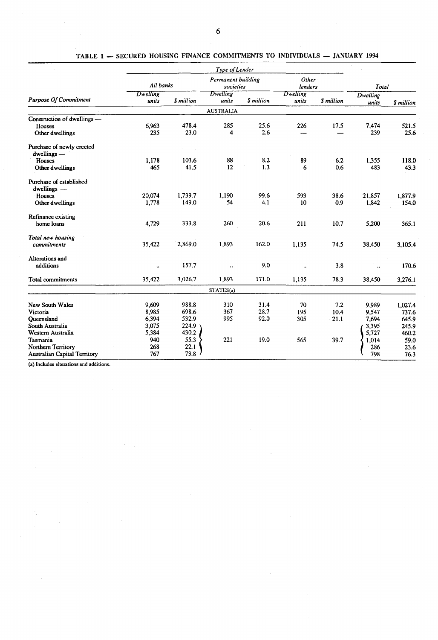|                                       |                   |            | Type of Lender                  |            |                   |                         |                   |            |
|---------------------------------------|-------------------|------------|---------------------------------|------------|-------------------|-------------------------|-------------------|------------|
|                                       | All banks         |            | Permanent building<br>societies |            | Other<br>lenders  |                         | Total             |            |
| <b>Purpose Of Commitment</b>          | Dwelling<br>units | \$ million | Dwelling<br>units               | \$ million | Dwelling<br>units | <i><b>S</b></i> million | Dwelling<br>units | \$ million |
|                                       |                   |            | <b>AUSTRALIA</b>                |            |                   |                         |                   |            |
| Construction of dwellings -           |                   |            |                                 |            |                   |                         |                   |            |
| Houses                                | 6.963             | 478.4      | 285                             | 25.6       | 226               | 17.5                    | 7,474             | 521.5      |
| Other dwellings                       | 235               | 23.0       | 4                               | 2.6        |                   |                         | 239               | 25.6       |
| Purchase of newly erected             |                   |            |                                 |            |                   |                         |                   |            |
| $dwellings -$                         |                   |            |                                 |            |                   |                         |                   |            |
| Houses                                | 1,178             | 103.6      | 88                              | 8.2        | 89                | 6.2                     | 1.355             | 118.0      |
| Other dwellings                       | 465               | 41.5       | 12                              | 1.3        | 6                 | 0.6                     | 483               | 43.3       |
| Purchase of established               |                   |            |                                 |            |                   |                         |                   |            |
| dwellings -                           |                   |            |                                 |            |                   |                         |                   |            |
| Houses                                | 20,074            | 1,739.7    | 1,190                           | 99.6       | 593               | 38.6                    | 21,857            | 1,877.9    |
| Other dwellings                       | 1,778             | 149.0      | 54                              | 4.1        | 10                | 0.9                     | 1,842             | 154.0      |
| Refinance existing                    |                   |            |                                 |            |                   |                         |                   |            |
| home loans                            | 4,729             | 333.8      | 260                             | 20.6       | 211               | 10.7                    | 5,200             | 365.1      |
| Total new housing                     |                   |            |                                 |            |                   |                         |                   |            |
| commitments                           | 35,422            | 2,869.0    | 1,893                           | 162.0      | 1,135             | 74.5                    | 38,450            | 3,105.4    |
| Alterations and                       |                   |            |                                 |            |                   |                         |                   |            |
| additions                             |                   | 157.7      |                                 | 9.0        | $\cdot$           | 3.8                     |                   | 170.6      |
| Total commitments                     | 35,422            | 3,026.7    | 1,893                           | 171.0      | 1,135             | 78.3                    | 38,450            | 3,276.1    |
|                                       |                   |            | STATES(a)                       |            |                   |                         |                   |            |
| New South Wales                       | 9,609             | 988.8      | 310                             | 31.4       | 70                | 7.2                     | 9,989             | 1,027.4    |
| Victoria                              | 8,985             | 698.6      | 367                             | 28.7       | 195               | 10.4                    | 9,547             | 737.6      |
| Oueensland                            | 6,394             | 532.9      | 995                             | 92.0       | 305               | 21.1                    | 7,694             | 645.9      |
| South Australia                       | 3,075             | 224.9      |                                 |            |                   |                         | 3,395             | 245.9      |
| Western Australia                     | 5,384             | 430.2      |                                 |            |                   |                         | 5,727             | 460.2      |
| Tasmania                              | 940               | 55.3       | 221                             | 19.0       | 565               | 39.7                    | 1,014             | 59.0       |
| Northern Territory                    | 268               | 22.1       |                                 |            |                   |                         | 286               | 23.6       |
| <b>Australian Capital Territory</b>   | 767               | 73.8       |                                 |            |                   |                         | 798               | 76.3       |
| of Includes alterations and additions |                   |            |                                 |            |                   |                         |                   |            |

|  |  | TABLE 1 - SECURED HOUSING FINANCE COMMITMENTS TO INDIVIDUALS - JANUARY 1994 |  |  |  |  |
|--|--|-----------------------------------------------------------------------------|--|--|--|--|
|--|--|-----------------------------------------------------------------------------|--|--|--|--|

(a) Includes altemtions and additions.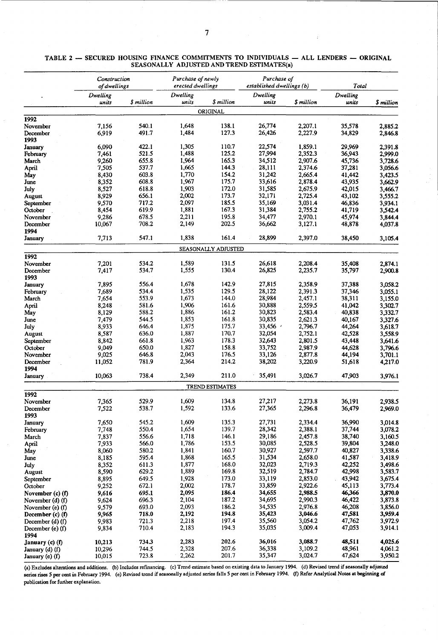| TABLE 2 - SECURED HOUSING FINANCE COMMITMENTS TO INDIVIDUALS - ALL LENDERS - ORIGINAL |  |
|---------------------------------------------------------------------------------------|--|
| SEASONALLY ADJUSTED AND TREND ESTIMATES(a)                                            |  |

|                          | Construction<br>of dwellings |                | Purchase of newly<br>erected dwellings |                     | Purchase of<br>established dwellings (b) |                    | Total             |                    |
|--------------------------|------------------------------|----------------|----------------------------------------|---------------------|------------------------------------------|--------------------|-------------------|--------------------|
|                          | Dwelling<br>units            | \$ million     | Dwelling<br>units                      | \$ million          | Dwelling<br>units                        | \$ million         | Dwelling<br>units | \$ million         |
|                          |                              |                |                                        | ORIGINAL            |                                          |                    |                   |                    |
| 1992                     |                              |                |                                        |                     |                                          |                    |                   |                    |
| November                 | 7,156                        | 540.1          | 1,648                                  | 138.1               | 26,774                                   | 2,207.1            | 35,578            | 2,885.2            |
| December                 | 6,919                        | 491.7          | 1,484                                  | 127.3               | 26,426                                   | 2,227.9            | 34,829            | 2,846.8            |
| 1993                     |                              |                |                                        |                     |                                          |                    |                   |                    |
| January                  | 6,090                        | 422.1          | 1,305                                  | 110.7<br>125.2      | 22,574                                   | 1,859.1            | 29.969            | 2.391.8            |
| February<br>March        | 7,461<br>9,260               | 521.5<br>655.8 | 1,488<br>1.964                         | 165.3               | 27,994<br>34,512                         | 2,352.3<br>2,907.6 | 36,943<br>45,736  | 2,999.0<br>3,728.6 |
| April                    | 7,505                        | 537.7          | 1,665                                  | 144.3               | 28,111                                   | 2,374.6            | 37,281            | 3,056.6            |
| May                      | 8,430                        | 603.8          | 1,770                                  | 154.2               | 31,242                                   | 2,665.4            | 41,442            | 3,423.5            |
| June                     | 8,352                        | 608.8          | 1,967                                  | 175.7               | 33,616                                   | 2,878.4            | 43,935            | 3,662.9            |
| July                     | 8,527                        | 618.8          | 1,903                                  | 172.0               | 31,585                                   | 2,675.9            | 42,015            | 3,466.7            |
| August                   | 8,929                        | 656.1          | 2,002                                  | 173.7               | 32,171                                   | 2,725.4            | 43,102            | 3,555.2            |
| September                | 9,570                        | 717.2          | 2,097                                  | 185.5               | 35,169                                   | 3,031.4            | 46,836            | 3,934.1            |
| October                  | 8,454                        | 619.9          | 1,881                                  | 167.3               | 31,384                                   | 2,755.2            | 41,719            | 3,542.4            |
| November<br>December     | 9,286<br>10,067              | 678.5<br>708.2 | 2,211<br>2,149                         | 195.8<br>202.5      | 34,477<br>36,662                         | 2,970.1<br>3,127.1 | 45,974<br>48,878  | 3,844.4            |
| 1994                     |                              |                |                                        |                     |                                          |                    |                   | 4,037.8            |
| January                  | 7,713                        | 547.1          | 1,838                                  | 161.4               | 28,899                                   | 2,397.0            | 38,450            | 3,105.4            |
|                          |                              |                |                                        | SEASONALLY ADJUSTED |                                          |                    |                   |                    |
| 1992                     |                              |                |                                        |                     |                                          |                    |                   |                    |
| November                 | 7,201                        | 534.2          | 1,589                                  | 131.5               | 26,618                                   | 2,208.4            | 35,408            | 2,874.1            |
| December                 | 7,417                        | 534.7          | 1,555                                  | 130.4               | 26,825                                   | 2,235.7            | 35,797            | 2,900.8            |
| 1993                     |                              |                |                                        |                     |                                          |                    |                   |                    |
| January                  | 7,895<br>7,689               | 556.4<br>534.4 | 1,678<br>1.535                         | 142.9<br>129.5      | 27,815<br>28.122                         | 2,358.9<br>2,391.3 | 37,388<br>37,346  | 3,058.2            |
| February<br>March        | 7,654                        | 553.9          | 1,673                                  | 144.0               | 28,984                                   | 2,457.1            | 38,311            | 3,055.1<br>3,155.0 |
| April                    | 8,248                        | 581.6          | 1,906                                  | 161.6               | 30,888                                   | 2,559.5            | 41,042            | 3,302.7            |
| May                      | 8,129                        | 588.2          | 1,886                                  | 161.2               | 30,823                                   | 2,583.4            | 40,838            | 3,332.7            |
| June                     | 7,479                        | 544.5          | 1,853                                  | 161.8               | 30,835                                   | 2,621.3            | 40,167            | 3,327.6            |
| July                     | 8,933                        | 646.4          | 1,875                                  | 175.7               | 33,456                                   | 2,796.7            | 44,264            | 3,618.7            |
| August                   | 8,587                        | 636.0          | 1,887                                  | 170.7               | 32,054                                   | 2,752.1            | 42,528            | 3,558.9            |
| September                | 8,842                        | 661.8          | 1,963                                  | 178.3               | 32,643                                   | 2,801.5            | 43,448            | 3,641.6            |
| October                  | 9,049                        | 650.0          | 1,827                                  | 158.8               | 33,752                                   | 2,987.9            | 44,628            | 3,796.6            |
| November<br>December     | 9,025<br>11,052              | 646.8<br>781.9 | 2,043<br>2,364                         | 176.5<br>214.2      | 33,126<br>38,202                         | 2,877.8<br>3,220.9 | 44,194<br>51,618  | 3,701.1<br>4,217.0 |
| 1994                     |                              |                |                                        |                     |                                          |                    |                   |                    |
| January                  | 10,063                       | 738.4          | 2,349                                  | 211.0               | 35,491                                   | 3,026.7            | 47,903            | 3,976.1            |
|                          |                              |                |                                        | TREND ESTIMATES     |                                          |                    |                   |                    |
| 1992                     |                              |                |                                        |                     |                                          |                    |                   |                    |
| November                 | 7,365                        | 529.9          | 1,609                                  | 134.8               | 27,217                                   | 2,273.8            | 36,191            | 2.938.5            |
| December<br>1993         | 7,522                        | 538.7          | 1,592                                  | 133.6               | 27,365                                   | 2,296.8            | 36,479            | 2,969.0            |
| January                  | 7,650                        | 545.2          | 1,609                                  | 135.3               | 27,731                                   | 2,334.4            | 36,990            | 3,014.8            |
| February                 | 7,748                        | 550.4          | 1,654                                  | 139.7               | 28,342                                   | 2,388.1            | 37,744            | 3,078.2            |
| March                    | 7,837                        | 556.6          | 1,718                                  | 146.1               | 29,186                                   | 2,457.8            | 38,740            | 3,160.5            |
| April                    | 7,933                        | 566.0          | 1,786                                  | 153.5               | 30,085                                   | 2,528.5            | 39,804            | 3,248.0            |
| May                      | 8,060                        | 580.2          | 1,841                                  | 160.7               | 30,927                                   | 2,597.7            | 40,827            | 3,338.6            |
| June                     | 8,185<br>8,352               | 595.4<br>611.3 | 1,868<br>1,877                         | 165.5<br>168.0      | 31,534<br>32,023                         | 2,658.0<br>2,719.3 | 41,587<br>42,252  | 3,418.9<br>3,498.6 |
| July<br>August           | 8,590                        | 629.2          | 1,889                                  | 169.8               | 32,519                                   | 2,784.7            | 42,998            | 3,583.7            |
| September                | 8,895                        | 649.5          | 1,928                                  | 173.0               | 33,119                                   | 2,853.0            | 43,942            | 3,675.4            |
| October                  | 9,252                        | 672.1          | 2,002                                  | 178.7               | 33,859                                   | 2,922.6            | 45,113            | 3,773.4            |
| November (c) (f)         | 9,616                        | 695.1          | 2,095                                  | 186.4               | 34,655                                   | 2,988.5            | 46,366            | 3,870.0            |
| November (d) (f)         | 9,624                        | 696.3          | 2,104                                  | 187.2               | 34,695                                   | 2,990.3            | 46,422            | 3,873.8            |
| November (e) (f)         | 9,579                        | 693.0          | 2,093                                  | 186.2               | 34,535                                   | 2,976.8            | 46,208            | 3,856.0            |
| December (c) (f)         | 9,965                        | 718.0          | 2,192                                  | 194.8               | 35,423                                   | 3,046.6            | 47,581            | 3,959.4            |
| December $(d)$ $(f)$     | 9,983                        | 721.3          | 2,218                                  | 197.4<br>194.3      | 35,560<br>35,035                         | 3,054.2<br>3,009.4 | 47,762<br>47,053  | 3,972.9            |
| December (e) (f)<br>1994 | 9,834                        | 710.4          | 2,183                                  |                     |                                          |                    |                   | 3,914.1            |
| January (c) (f)          | 10,213                       | 734.3          | 2,283                                  | 202.6               | 36,016                                   | 3,088.7            | 48,511            | 4,025.6            |
| January (d) (f)          | 10,296                       | 744.5          | 2,328                                  | 207.6               | 36,338                                   | 3,109.2            | 48,961            | 4,061.2            |
| January (e) (f)          | 10,015                       | 723.8          | 2,262                                  | 201.7               | 35,347                                   | 3,024.7            | 47,624            | 3,950.2            |

(a) Excludes alterations and additions. (b) Includes refinancing. (c) Trend estimate based on existing data to January 1994. (d) Revised trend if seasonally adjusted<br>series rises 5 per cent in February 1994. (e) Revised tr publication for further explanation.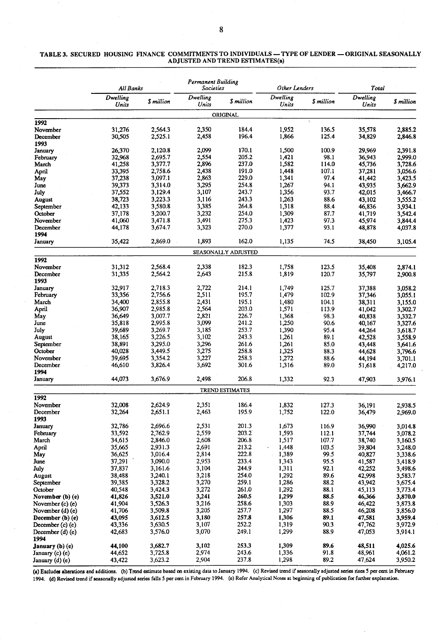#### TABLE 3. SECURED HOUSING FINANCE COMMITMENTS TO INDIVIDUALS - TYPE OF LENDER - ORIGINAL SEASONALLY ADJUSTED AND TREND ESTIMATES(a)

|                             | All Banks         |                    | Permanent Building<br><b>Societies</b> |                        | Other Lenders     |              | Total             |                    |
|-----------------------------|-------------------|--------------------|----------------------------------------|------------------------|-------------------|--------------|-------------------|--------------------|
|                             | Dwelling<br>Units | \$ million         | Dwelling<br>Units                      | S million              | Dwelling<br>Units | \$ million   | Dwelling<br>Units | \$ million         |
|                             |                   |                    |                                        | ORIGINAL               |                   |              |                   |                    |
| 1992                        |                   |                    |                                        |                        |                   |              |                   |                    |
| November                    | 31,276            | 2,564.3            | 2,350                                  | 184.4                  | 1,952             | 136.5        | 35,578            | 2,885.2            |
| December                    | 30,505            | 2,525.1            | 2,458                                  | 196.4                  | 1,866             | 125.4        | 34,829            | 2,846.8            |
| 1993<br>January             | 26,370            | 2.120.8            | 2,099                                  | 170.1                  | 1,500             | 100.9        | 29,969            | 2,391.8            |
| February                    | 32,968            | 2,695.7            | 2,554                                  | 205.2                  | 1,421             | 98.1         | 36,943            | 2,999.0            |
| March                       | 41,258            | 3,377.7            | 2,896                                  | 237.0                  | 1,582             | 114.0        | 45,736            | 3,728.6            |
| April                       | 33,395            | 2,758.6            | 2,438                                  | 191.0                  | 1,448             | 107.1        | 37,281            | 3,056.6            |
| May                         | 37,238            | 3,097.1            | 2,863                                  | 229.0                  | 1,341             | 97.4         | 41,442            | 3,423.5            |
| June                        | 39,373            | 3,314.0            | 3,295                                  | 254.8                  | 1,267             | 94.1         | 43,935            | 3,662.9            |
| July                        | 37,552            | 3,129.4            | 3,107                                  | 243.7                  | 1,356             | 93.7         | 42,015            | 3,466.7            |
| <b>August</b>               | 38,723            | 3,223.3            | 3,116                                  | 243.3                  | 1,263             | 88.6         | 43,102            | 3,555.2            |
| September                   | 42,133            | 3,580.8            | 3,385                                  | 264.8                  | 1,318             | 88.4         | 46,836            | 3,934.1            |
| October                     | 37,178            | 3,200.7            | 3,232                                  | 254.0                  | 1,309             | 87.7         | 41,719            | 3,542.4            |
| November                    | 41,060            | 3,471.8            | 3,491                                  | 275.3<br>270.0         | 1,423             | 97.3         | 45,974            | 3,844.4            |
| December<br>1994            | 44,178            | 3,674.7            | 3,323                                  |                        | 1,377             | 93.1         | 48,878            | 4,037.8            |
| January                     | 35,422            | 2,869.0            | 1,893                                  | 162.0                  | 1,135             | 74.5         | 38,450            | 3,105.4            |
|                             |                   |                    |                                        | SEASONALLY ADJUSTED    |                   |              |                   |                    |
| 1992                        |                   |                    |                                        |                        |                   |              |                   |                    |
| November                    | 31,312            | 2,568.4            | 2,338                                  | 182.3                  | 1,758             | 123.5        | 35,408            | 2,874.1            |
| December<br>1993            | 31,335            | 2,564.2            | 2,643                                  | 215.8                  | 1,819             | 120.7        | 35,797            | 2,900.8            |
| January                     | 32,917            | 2.718.3            | 2,722                                  | 214.1                  | 1,749             | 125.7        | 37,388            | 3,058.2            |
| February                    | 33,356            | 2,756.6            | 2,511                                  | 195.7                  | 1,479             | 102.9        | 37,346            | 3.055.1            |
| March                       | 34,400            | 2,855.8            | 2,431                                  | 195.1                  | 1,480             | 104.1        | 38,311            | 3,155.0            |
| April                       | 36,907            | 2,985.8            | 2,564                                  | 203.0                  | 1,571             | 113.9        | 41,042            | 3,302.7            |
| May<br>June                 | 36,649            | 3,007.7<br>2,995.8 | 2,821<br>3,099                         | 226.7<br>241.2         | 1,368             | 98.3<br>90.6 | 40,838            | 3,332.7            |
| July                        | 35,818<br>39,689  | 3,269.7            | 3,185                                  | 253.7                  | 1,250<br>1,390    | 95.4         | 40,167<br>44,264  | 3,327.6<br>3,618.7 |
| August                      | 38,165            | 3,226.5            | 3,102                                  | 243.3                  | 1,261             | 89.1         | 42,528            | 3,558.9            |
| September                   | 38,891            | 3,295.0            | 3,296                                  | 261.6                  | 1,261             | 85.0         | 43,448            | 3,641.6            |
| October                     | 40,028            | 3,449.5            | 3,275                                  | 258.8                  | 1,325             | 88.3         | 44,628            | 3,796.6            |
| November                    | 39,695            | 3,354.2            | 3,227                                  | 258.3                  | 1,272             | 88.6         | 44,194            | 3,701.1            |
| December                    | 46,610            | 3,826.4            | 3,692                                  | 301.6                  | 1,316             | 89.0         | 51,618            | 4,217.0            |
| 1994                        |                   |                    |                                        |                        |                   |              |                   |                    |
| January                     | 44,073            | 3,676.9            | 2,498                                  | 206.8                  | 1,332             | 92.3         | 47,903            | 3,976.1            |
| 1992                        |                   |                    |                                        | <b>TREND ESTIMATES</b> |                   |              |                   |                    |
| November                    | 32,008            | 2,624.9            | 2,351                                  | 186.4                  | 1,832             | 127.3        | 36.191            | 2.938.5            |
| December<br>1993            | 32,264            | 2,651.1            | 2,463                                  | 195.9                  | 1,752             | 122.0        | 36,479            | 2,969.0            |
| January                     | 32,786            | 2,696.6            | 2,531                                  | 201.3                  | 1,673             | 116.9        | 36,990            | 3,014.8            |
| February                    | 33,592            | 2,762.9            | 2,559                                  | 203.2                  | 1,593             | 112.1        | 37,744            | 3,078.2            |
| March                       | 34,615            | 2,846.0            | 2,608                                  | 206.8                  | 1,517             | 107.7        | 38,740            | 3,160.5            |
| April                       | 35,665            | 2,931.3            | 2,691                                  | 213.2                  | 1,448             | 103.5        | 39,804            | 3,248.0            |
| May                         | 36,625            | 3,016.4            | 2,814                                  | 222.8                  | 1,389             | 99.5         | 40,827            | 3,338.6            |
| June                        | 37,291            | 3,090.0            | 2,953                                  | 233.4                  | 1,343             | 95.5         | 41,587            | 3,418.9            |
| July                        | 37,837            | 3,161.6            | 3,104                                  | 244.9                  | 1,311             | 92.1         | 42,252            | 3,498.6            |
| August                      | 38,488            | 3,240.1            | 3,218                                  | 254.0                  | 1,292             | 89.6         | 42,998            | 3,583.7            |
| September                   | 39,385            | 3,328.2            | 3,270                                  | 259.1                  | 1,286             | 88.2         | 43,942            | 3,675.4            |
| October<br>November (b) (e) | 40,548<br>41,826  | 3,424.3<br>3,521.0 | 3,272<br>3,241                         | 261.0<br>260.5         | 1,292<br>1,299    | 88.1<br>88.5 | 45,113<br>46,366  | 3,773.4<br>3,870.0 |
| November (c) (e)            | 41,904            | 3,526.3            | 3,216                                  | 258.6                  | 1,303             | 88.9         | 46,422            | 3,873.8            |
| November (d) (e)            | 41,706            | 3,509.8            | 3,205                                  | 257.7                  | 1,297             | 88.5         | 46,208            | 3,856.0            |
| December (b) (e)            | 43,095            | 3,612.5            | 3,180                                  | 257.8                  | 1,306             | 89.1         | 47,581            | 3,959.4            |
| December (c) (e)            | 43,336            | 3,630.5            | 3,107                                  | 252.2                  | 1,319             | 90.3         | 47,762            | 3,972.9            |
| December (d) (e)<br>1994    | 42,683            | 3,576.0            | 3,070                                  | 249.1                  | 1,299             | 88.9         | 47,053            | 3,914.1            |
| January (b) (e)             | 44,100            | 3,682.7            | 3,102                                  | 253.3                  | 1,309             | 89.6         | 48,511            | 4,025.6            |
| January (c) (e)             | 44,652            | 3,725.8            | 2,974                                  | 243.6                  | 1,336             | 91.8         | 48,961            | 4,061.2            |
| January (d) (e)             | 43,422            | 3,623.2            | 2,904                                  | 237.8                  | 1,298             | 89.2         | 47,624            | 3,950.2            |

(a) Excludes alterations and additions. (b) Trend estimate based on existing data to January 1994. (c) Revised trend if seasonally adjusted series rises 5 per cent in February 1994. (d) Revised trend if seasonally adjusted series falls 5 per cent in February 1994. (e) Refer Analytical Notes at beginning of publication for further explanation.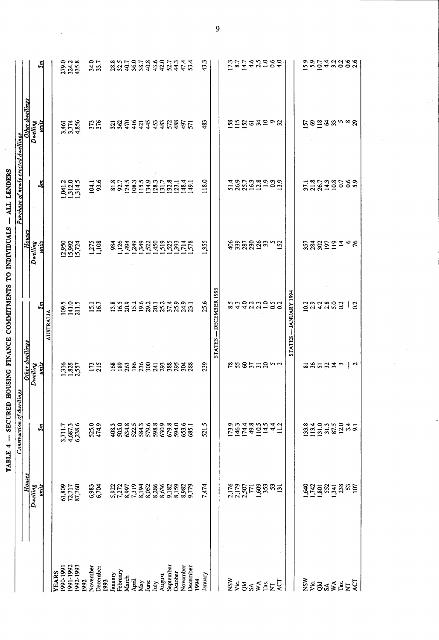| $\frac{1}{2}$<br> <br> <br> <br>                                        |  |
|-------------------------------------------------------------------------|--|
|                                                                         |  |
| $\overline{a}$                                                          |  |
|                                                                         |  |
|                                                                         |  |
| ֖֖֖ׅ֖ׅ֖֧֧ׅ֧ׅ֖֧֧ׅ֧֪֪ׅ֖֧֚֚֚֚֚֚֚֚֚֚֚֚֚֚֚֚֚֚֚֚֚֚֚֚֚֚֚֚֚֚֚֡֝֝֝֓֞֝֬֝֬֝֓֞֝֬֞֝֬ |  |
|                                                                         |  |

 $\bar{\bar{z}}$ 

|                                         |                                                         | Construction of dwellings     |                   |                                                                                                          |                             | Purchase of newly erected dwellings                                 |                         |                         |   |
|-----------------------------------------|---------------------------------------------------------|-------------------------------|-------------------|----------------------------------------------------------------------------------------------------------|-----------------------------|---------------------------------------------------------------------|-------------------------|-------------------------|---|
|                                         | Houses                                                  |                               | Other dwellings   |                                                                                                          | Houses                      |                                                                     | <b>Other dwellings</b>  |                         |   |
|                                         | Dwelling                                                |                               | Dwelling          |                                                                                                          | Dwelling                    |                                                                     | Dwelling                |                         |   |
|                                         | units                                                   | Ŝm                            | units             | Šп                                                                                                       | units                       | ξñ                                                                  | units                   | ŠЛ                      |   |
|                                         |                                                         |                               |                   | AUSTRALIA                                                                                                |                             |                                                                     |                         |                         |   |
| 1990-1991<br><b>YEARS</b>               |                                                         |                               |                   |                                                                                                          |                             |                                                                     |                         |                         |   |
| 1991-1992                               | $\frac{61,809}{72,717}$                                 | 3,711.7<br>4,687.3<br>6,238.6 | $\frac{385}{357}$ | 109.5<br>141.0<br>211.5                                                                                  | 12,950<br>15,992<br>15,724  | 1,041.2<br>1,312.0<br>1,314.5                                       | 3,461<br>3,774<br>4,856 | 279.0<br>324.2<br>435.8 |   |
|                                         |                                                         |                               |                   |                                                                                                          |                             |                                                                     |                         |                         |   |
| 1992-1993<br>1992                       |                                                         |                               |                   |                                                                                                          |                             |                                                                     |                         |                         |   |
| November                                |                                                         |                               |                   |                                                                                                          |                             |                                                                     |                         |                         |   |
| December                                | 6,983<br>6,704                                          | 525.0<br>474.9                | 173               | 15.1                                                                                                     | 1,275<br>1,108              | 104.1<br>93.6                                                       | 376                     | 34.0<br>33.7            |   |
| 1993                                    |                                                         |                               |                   |                                                                                                          |                             |                                                                     |                         |                         |   |
| January                                 |                                                         |                               |                   |                                                                                                          |                             |                                                                     |                         |                         |   |
| February                                |                                                         |                               |                   |                                                                                                          |                             | 81.8                                                                |                         | 28.8<br>32.5            |   |
| March                                   | 5,922<br>7,272<br>8,997                                 |                               |                   |                                                                                                          |                             |                                                                     |                         |                         |   |
| April                                   | 133888                                                  | 4850<br>65635566<br>466556568 |                   |                                                                                                          |                             | $\begin{array}{c} 1245 \\ 1083 \\ 1153 \\ 1343 \\ 1283 \end{array}$ |                         |                         |   |
| May                                     |                                                         |                               |                   |                                                                                                          |                             |                                                                     |                         |                         |   |
| June                                    |                                                         |                               |                   |                                                                                                          |                             |                                                                     |                         |                         |   |
| July                                    |                                                         |                               |                   |                                                                                                          |                             |                                                                     |                         |                         |   |
| August                                  |                                                         | 630.9                         |                   |                                                                                                          |                             | 131.7                                                               |                         |                         |   |
| September                               | 9,182                                                   | 679.8                         |                   |                                                                                                          |                             | 132.8                                                               |                         |                         |   |
| October                                 |                                                         |                               |                   |                                                                                                          |                             | 123.1                                                               |                         |                         |   |
| November                                | 8,159<br>8,982<br>9,779                                 | 594.0<br>653.6                | Engensatssans     | 329323333333333333                                                                                       | 88888888888578              | 148.4                                                               | <b>NNHHHHHHHHHH</b>     |                         |   |
| December                                |                                                         | 685.1                         |                   |                                                                                                          |                             | 149.1                                                               |                         |                         |   |
| 1994                                    |                                                         |                               |                   |                                                                                                          |                             |                                                                     | 483                     | 43.3                    |   |
| January                                 | 7,474                                                   | 521.5                         | 239               | 25.6                                                                                                     | 1,355                       | 118.0                                                               |                         |                         |   |
|                                         |                                                         |                               | <b>STATES</b>     | $-$ DECEMBER 1993                                                                                        |                             |                                                                     |                         |                         | 9 |
|                                         |                                                         |                               |                   |                                                                                                          |                             |                                                                     |                         |                         |   |
| NSW<br>Vic                              |                                                         |                               |                   |                                                                                                          |                             |                                                                     |                         |                         |   |
|                                         |                                                         |                               |                   |                                                                                                          |                             |                                                                     |                         |                         |   |
| 8g<br>S≾                                | 2,176<br>2,179<br>2,507<br>771                          |                               |                   |                                                                                                          |                             |                                                                     |                         |                         |   |
| $X^{\mathbf{A}}_{\mathbf{a}\mathbf{s}}$ | $\frac{3}{6}$ $\frac{2}{3}$ $\frac{1}{2}$ $\frac{1}{2}$ | 1733<br>1463<br>1743<br>1165  | ex85m2nd          | sa 442258                                                                                                | ទំនិន្នដឹង <sub>ង</sub> ក្ន | 586528253                                                           | <b>SHOSASOS</b>         | 1221421089              |   |
|                                         |                                                         |                               |                   |                                                                                                          |                             |                                                                     |                         |                         |   |
|                                         |                                                         | $4.4$<br>11.2                 |                   |                                                                                                          |                             |                                                                     |                         |                         |   |
| ĹΩ                                      |                                                         |                               |                   |                                                                                                          |                             |                                                                     |                         |                         |   |
|                                         |                                                         |                               | <b>STATES</b>     | - JANUARY 1994                                                                                           |                             |                                                                     |                         |                         |   |
|                                         |                                                         |                               |                   |                                                                                                          |                             |                                                                     |                         |                         |   |
| NSW<br>Vic                              |                                                         | 133.8<br>113.4                |                   |                                                                                                          |                             |                                                                     |                         |                         |   |
|                                         |                                                         |                               |                   |                                                                                                          |                             |                                                                     |                         |                         |   |
| <b>PR</b>                               |                                                         | 131.0                         |                   |                                                                                                          |                             |                                                                     |                         |                         |   |
|                                         |                                                         | 31.3                          |                   |                                                                                                          |                             |                                                                     |                         |                         |   |
| $X^*$<br>$X^*$                          | 8255338                                                 | 87.5<br>87.94<br>87.93        | <b>835333212</b>  | $\begin{array}{ccc}\n 2 & 3 & 3 & 3 & 3 \\ 2 & 3 & 4 & 3 & 3 & 3 \\ 3 & 4 & 3 & 3 & 3 & 3\n \end{array}$ |                             | 5738190003                                                          | ຼ¤ອ≌ອສຕ∞ຂ               | substruction            |   |
|                                         |                                                         |                               |                   |                                                                                                          |                             |                                                                     |                         |                         |   |
|                                         | 23/20                                                   |                               |                   | $\mathbf{c}$                                                                                             |                             |                                                                     |                         |                         |   |
|                                         |                                                         |                               |                   |                                                                                                          |                             |                                                                     |                         |                         |   |

 $\overline{9}$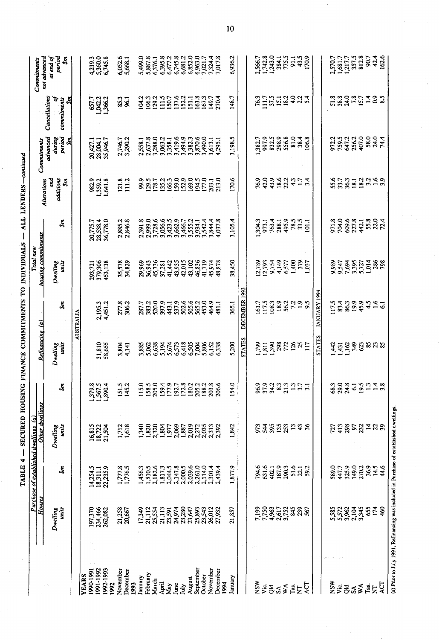|                                                                                                                       | יינו הייתו הייתה הייתה הייתה הייתה הייתה הייתה הייתה הייתה הייתה הייתה הייתה הייתה הייתה הייתה הייתה הייתה היי<br>תוכנות הייתה הייתה הייתה הייתה הייתה הייתה הייתה הייתה הייתה הייתה הייתה הייתה הייתה הייתה הייתה הייתה הייתה |
|-----------------------------------------------------------------------------------------------------------------------|--------------------------------------------------------------------------------------------------------------------------------------------------------------------------------------------------------------------------------|
| <b>CONFIDENTIAL ALLE CONFIDENTIALE CE CERTE DES CONFIDENCIALES DE CARACTERISTICI DE L'ANNO DE L'ANNO DE L'ANNO DE</b> |                                                                                                                                                                                                                                |
| '<br>ו                                                                                                                |                                                                                                                                                                                                                                |
|                                                                                                                       |                                                                                                                                                                                                                                |
| .<br>אינוייני אוני                                                                                                    |                                                                                                                                                                                                                                |
| I                                                                                                                     |                                                                                                                                                                                                                                |
| -<br>F F F F F                                                                                                        |                                                                                                                                                                                                                                |

|                           | Houses                           |                                  | Other dwellings<br>Purchase of established dwellings (a)                               |                                           | Refinancing (a)                      |                                  | housing commitments<br>Total new                |                                                                                            |                                      | Commitments                                          |                                         | Commitments                                                         |    |
|---------------------------|----------------------------------|----------------------------------|----------------------------------------------------------------------------------------|-------------------------------------------|--------------------------------------|----------------------------------|-------------------------------------------------|--------------------------------------------------------------------------------------------|--------------------------------------|------------------------------------------------------|-----------------------------------------|---------------------------------------------------------------------|----|
|                           | units<br>Dwelling                | Ŝm                               | Dwelling<br>units                                                                      | Ŝn                                        | Dwelling<br>units                    | Ŝm                               | Dwelling<br>units                               | ડેમ                                                                                        | and<br>additions<br>Alterations<br>š | advanced<br>period<br>during<br>$\tilde{\mathbf{z}}$ | Cancellations<br>ষ<br>commitments<br>Šп | ai end of<br>noi advanced<br>period<br>š                            |    |
|                           |                                  |                                  |                                                                                        |                                           |                                      | AUSTRALIA                        |                                                 |                                                                                            |                                      |                                                      |                                         |                                                                     |    |
| YEARS                     |                                  |                                  |                                                                                        |                                           |                                      |                                  |                                                 |                                                                                            |                                      |                                                      |                                         |                                                                     |    |
| 991-1992<br>1990-1991     | 197,370<br>234,466<br>262,082    | 14,254.5<br>18,311.1<br>22,235.9 | 16,815<br>18,722<br>21,504                                                             | 379.8                                     |                                      |                                  | 293,721<br>379,306                              | 20,775.7<br>28,538.4                                                                       | 982.9<br>1,359.2                     | 20,427.1<br>28,004.1<br>35,946.7                     | 657.7<br>1,042.2<br>1,366.2             | 4,219.3<br>5,360.0<br>6,745.8                                       |    |
| 992-1993<br>1992          |                                  |                                  |                                                                                        | 1,567.5<br>1,890.4                        | 31,810<br>58,655                     | 2,195.3<br>4,451.2               | 453,138                                         | 36,778.0                                                                                   | ,641.8                               |                                                      |                                         |                                                                     |    |
| Vovember                  |                                  |                                  |                                                                                        |                                           |                                      |                                  |                                                 |                                                                                            |                                      |                                                      |                                         |                                                                     |    |
| Jecember<br>1993          | 21,258<br>20,667                 | 1,777.8                          | 1,712                                                                                  | 151.5<br>145.2                            | 3,804<br>4,141                       | 277.8<br>306.2                   | 35,578<br>34,829                                | 2,885.2<br>2,846.8                                                                         | 121.8                                | 2,746.7<br>3,290.2                                   | $rac{3}{81}$                            | 6,052.6<br>5,668.1                                                  |    |
| January                   | 17,349                           | 1,456.3                          |                                                                                        | 115.0                                     |                                      |                                  |                                                 |                                                                                            |                                      |                                                      | 04.2                                    |                                                                     |    |
| February                  | $\frac{112}{23541350}$           | 1,810.5                          | 1,340<br>1,820                                                                         | 158.5<br>205.0                            | 3,885<br>5,062<br>6,638              | 287.7<br>383.2                   | 29,969<br>36,943<br>45,736                      | 2,391.8                                                                                    |                                      | 2,558.1<br>2,637.8                                   | 106.3                                   | 5,499.0<br>5,887.8                                                  |    |
| March                     |                                  | 2,182.6                          | 2,320<br>1,804<br>1,977                                                                |                                           |                                      | 520.0                            |                                                 | 3,728.6                                                                                    |                                      | 3,288.0                                              | 129.2<br>111.5<br>150.7                 | 6,376.1<br>6,395.8                                                  |    |
| April                     |                                  | 1,817.3<br>2,044.5               |                                                                                        | 159.4                                     | 5,194<br>5,674                       |                                  |                                                 | 3,056.6<br>3,423.5                                                                         |                                      | 3,063.2                                              |                                         |                                                                     |    |
| May                       |                                  |                                  |                                                                                        |                                           |                                      | 397.9<br>437.9<br>552.6<br>552.5 | 37,281<br>41,442<br>43,935                      |                                                                                            |                                      | 3,358.1                                              |                                         | 6,477.2                                                             |    |
| June                      |                                  | 2,147.8                          | 2,069                                                                                  |                                           |                                      |                                  |                                                 | 3,662.9                                                                                    |                                      | 3,419.6<br>3,494.9                                   |                                         | 6,745.8<br>6,681.2                                                  |    |
| <b>July</b>               | 24,974<br>23,280<br>23,647       |                                  | 1,887                                                                                  |                                           |                                      |                                  | 42,015                                          | 3,466.7                                                                                    |                                      |                                                      | 137.6<br>152.2<br>151.1                 |                                                                     |    |
| August                    |                                  | 2,039.6<br>2,261.0               |                                                                                        |                                           |                                      |                                  | 43,102                                          | 3,555.2                                                                                    |                                      | 3,382.3                                              |                                         | 6,852.0                                                             |    |
| September                 | 25,893<br>23,543                 |                                  | 2,019<br>2,272<br>2,035                                                                | 192.7<br>172.8<br>180.2<br>188.2<br>188.2 |                                      |                                  |                                                 | 3,934.1                                                                                    |                                      | 3,870.6<br>3,490.0<br>3,613.1                        | 163.8                                   | 6,963.0                                                             |    |
| November<br>October       |                                  | 2,114.0                          | 2,313                                                                                  |                                           |                                      | 453.0<br>464.9                   |                                                 | 3,542.4<br>844.4                                                                           |                                      |                                                      | 167.3                                   | 7,021.7                                                             |    |
| December                  | 26,012<br>27,932                 | 2,301.4<br>2,439.4               | 2,392                                                                                  | 206.6                                     | 6528888338<br>64186888528<br>6465656 | 481.1                            | 46,836<br>41,719<br>45,974<br>48,878            | ,037.8                                                                                     | 203.1<br>213.0                       | 4,295.                                               | 149.7<br>270.4                          | 7,324.4<br>7,017.8                                                  |    |
| 1994                      |                                  |                                  |                                                                                        |                                           |                                      |                                  |                                                 |                                                                                            |                                      |                                                      |                                         |                                                                     |    |
| January                   | 21,857                           | 1,877.9                          | 1,842                                                                                  | 154.0                                     | 5,200                                | 365.1                            | 38,450                                          | 3,105.4                                                                                    | 170.6                                | 3,198.5                                              | 148.7                                   | 6,936.2                                                             | 10 |
|                           |                                  |                                  |                                                                                        |                                           | <b>STATES</b>                        | $-$ DECEMBER 1993                |                                                 |                                                                                            |                                      |                                                      |                                         |                                                                     |    |
| <b>NSW</b>                |                                  | 794.6                            | 973                                                                                    |                                           |                                      |                                  |                                                 | 304.3                                                                                      | 76.9                                 | 1,382.7                                              | 76.3                                    |                                                                     |    |
| νiς.                      |                                  | 631.6                            |                                                                                        |                                           |                                      | 161.7<br>117.5                   |                                                 | 973.1                                                                                      |                                      | 97.9                                                 | 1117                                    |                                                                     |    |
| $\overline{5}$            |                                  |                                  |                                                                                        |                                           |                                      |                                  |                                                 |                                                                                            |                                      | 832.5                                                |                                         |                                                                     |    |
| $S_A$                     | 7,750<br>7,750<br>7,752<br>7,752 | 402.1<br>187.9<br>290.3          | <b>3853</b>                                                                            | 853331                                    |                                      |                                  |                                                 |                                                                                            | 43822                                | 298.9<br>556.8                                       | $37.5$<br>$15.1$<br>$18.2$              |                                                                     |    |
| $\mathsf{X}^{\mathsf{A}}$ |                                  |                                  |                                                                                        |                                           |                                      |                                  |                                                 |                                                                                            |                                      |                                                      |                                         |                                                                     |    |
| Tas.<br>乞                 | 845                              |                                  |                                                                                        |                                           |                                      |                                  |                                                 |                                                                                            |                                      |                                                      |                                         |                                                                     |    |
| <b>ACT</b>                | 567                              | 515<br>523                       | 55%                                                                                    | 13,7                                      | <b>BEBSERSHE</b>                     | 1083<br>1892<br>1993<br>1993     | 17789<br>17754 4777<br>17754 4777<br>17754 4787 | $\begin{array}{c} 763.4 \\ 283.3 \\ 283.4 \\ 29.5 \\ 29.5 \\ 20.1 \\ 101.1 \\ \end{array}$ | $4 - 4$<br>$7 - 4$                   | 81.0<br>38.4<br>106.8                                | $324$<br>$424$                          | 2,566.7<br>1,742.8<br>1,743.0<br>1,75.5<br>1,75.5<br>9,11<br>1,70.9 |    |
|                           |                                  |                                  |                                                                                        |                                           | <b>STATES</b>                        | -JANUARY 1994                    |                                                 |                                                                                            |                                      |                                                      |                                         |                                                                     |    |
| NSW                       |                                  | 589.0                            | 727                                                                                    | 68.3                                      |                                      | 117.5                            |                                                 |                                                                                            |                                      |                                                      |                                         |                                                                     |    |
| Vic.                      |                                  |                                  |                                                                                        |                                           |                                      | 83.4                             |                                                 | 971.8<br>704.0                                                                             |                                      |                                                      |                                         |                                                                     |    |
| కెన                       | 2223423                          | 447.7<br>325.9                   | 7858728                                                                                | 29.0<br>24.8                              | arasana<br><del>di</del> ngsana      |                                  |                                                 |                                                                                            |                                      | 973339824                                            | 2333521392                              | 2,570.7<br>1,681.7<br>1,217.7<br>1,377.5<br>812.8<br>162.6          |    |
|                           |                                  | 149.0                            |                                                                                        |                                           |                                      |                                  |                                                 |                                                                                            |                                      |                                                      |                                         |                                                                     |    |
| $W_{\mathsf{A}}$          |                                  | 270.2<br>36.9                    |                                                                                        |                                           |                                      |                                  |                                                 |                                                                                            |                                      |                                                      |                                         |                                                                     |    |
| Tas.                      | 655                              |                                  |                                                                                        | <b>GSHHS</b>                              |                                      | 899416                           |                                                 | <b>69.6</b><br>2713<br>58.074                                                              |                                      |                                                      |                                         |                                                                     |    |
| $\overline{z}$            | 174                              | 14.5                             |                                                                                        |                                           |                                      |                                  |                                                 |                                                                                            |                                      |                                                      |                                         |                                                                     |    |
| ঢ়ৄ                       | 460                              |                                  |                                                                                        |                                           |                                      |                                  |                                                 |                                                                                            |                                      |                                                      |                                         |                                                                     |    |
|                           |                                  |                                  | (a) Prior to July 1991, Refinancing was included in Purchase of established dwellings. |                                           |                                      |                                  |                                                 |                                                                                            |                                      |                                                      |                                         |                                                                     |    |

 $\overline{10}$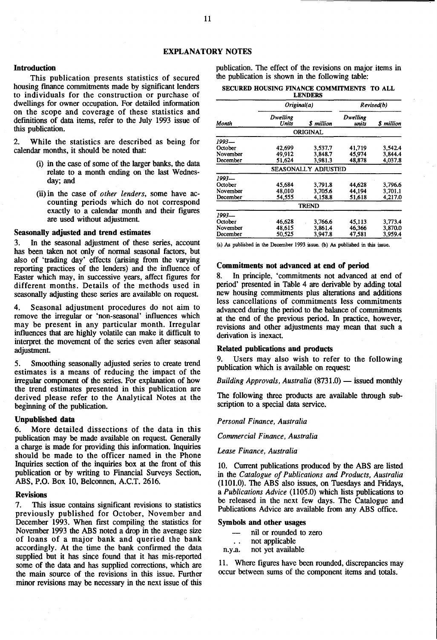#### Introduction

This publication presents statistics of secured housing fmance commitments made by significant lenders to individuals for the construction or purchase of dwellings for owner occupation. For detailed information on the scope and coverage of these statistics and defmitions of data items, refer to the July 1993 issue of this publication.

2. While the statistics are described as being for calendar months, it should be noted that:

- (i) in the case of some of the larger banks, the data relate to a month ending on the last Wednesday; and
- (ii) in the case of *other lenders,* some have accounting periods which do not correspond exactly to a calendar month and their figures are used without adjustment.

#### Seasonally adjusted and trend estimates

3. In the seasonal adjustment of these series, account has been taken not only of normal seasonal factors, but also of 'trading day' effects (arising from the varying reporting practices of the lenders) and the influence of Easter which may, in successive years, affect figures for different months. Details of the methods used in seasonally adjusting these series are available on request.

4. Seasonal adjustment procedures do not aim to remove the irregular or 'non-seasonal' influences which may be present in any particular month. Irregular influences that are highly volatile can make it difficult to interpret the movement of the series even after seasonal adjustment.

5. Smoothing seasonally adjusted series to create trend estimates is a means of reducing the impact of the irregular component of the series. For explanation of how the trend estimates presented in this publication are derived please refer to the Analytical Notes at the beginning of the publication.

#### Unpublished data

6. More detailed dissections of the data in this publication may be made available on request. Generally a charge is made for providing this information. Inquiries should be made to the officer named in the Phone Inquiries section of the inquiries box at the front of this publication or by writing to Financial Surveys Section, ABS, P.O. Box 10, Belconnen, A.C.T. 2616.

#### Revisions

7. This issue contains significant revisions to statistics previously published for October, November and December 1993. When first compiling the statistics for November 1993 the ABS noted a drop in the average size of loans of a major bank and queried the bank accordingly. At the time the bank confirmed the data supplied but it has since found that it has mis-reported some of the data and has supplied corrections, which are the main source of the revisions in this issue. Further minor revisions may be necessary in the next issue of this

publication. The effect of the revisions on major items in the publication is shown in the following table:

SECURED HOUSING FINANCE COMMITMENTS TO ALL

| LENDERS                         |                            |                               |                            |                               |  |  |
|---------------------------------|----------------------------|-------------------------------|----------------------------|-------------------------------|--|--|
|                                 | Original(a)                |                               | Revised(b)                 |                               |  |  |
| Month                           | Dwelling<br>Units          | S million                     | Dwelling<br>units          | <b>S</b> million              |  |  |
|                                 |                            | <b>ORIGINAL</b>               |                            |                               |  |  |
| 1993—                           |                            |                               |                            |                               |  |  |
| October<br>November<br>December | 42,699<br>49,912<br>51,624 | 3.537.7<br>3.848.7<br>3.981.3 | 41,719<br>45,974<br>48,878 | 3.542.4<br>3,844.4<br>4,037.8 |  |  |
|                                 |                            | <b>SEASONALLY ADJUSTED</b>    |                            |                               |  |  |
| 1993—                           |                            |                               |                            |                               |  |  |
| October<br>November<br>December | 45,684<br>48.010<br>54.555 | 3.791.8<br>3.705.6<br>4.158.8 | 44,628<br>44.194<br>51,618 | 3,796.6<br>3.701.1<br>4,217.0 |  |  |
|                                 |                            | <b>TREND</b>                  |                            |                               |  |  |
| 1993—                           |                            |                               |                            |                               |  |  |
| October<br>November<br>December | 46.628<br>48,615<br>50.525 | 3,766.6<br>3,861.4<br>3.947.8 | 45,113<br>46,366<br>47.581 | 3,773.4<br>3,870.0<br>3,959.4 |  |  |

(a) As published in the December 1993 issue. (b) As published in this issue.

#### Commitments not advanced at end of period

In principle, 'commitments not advanced at end of period' presented in Table 4 are derivable by adding total new housing commitments plus alterations and additions less cancellations of commitments less commitments advanced during the period to the balance of commitments at the end of the previous period. In practice, however, revisions and other adjustments may mean that such a derivation is inexact.

#### Related publications and products

9. Users may also wish to refer to the following publication which is available on request:

*Building Approvals, Australia* (8731.0) - issued monthly

The following three products are available through subscription to a special data service.

#### *Personal Finance, Australia*

*Commercial Finance, Australia* 

#### *Lease Finance, Australia*

10. Current publications produced by the ABS are listed in the *Catalogue of Publications and Products, Australia*  (1101.0). The ABS also issues, on Tuesdays and Fridays, a *Publications Advice* (1105.0) which lists publications to be released in the next few days. The Catalogue and Publications Advice are available from any ABS office.

#### Symbols and other usages

- nil or rounded to zero
- not applicable  $\ddot{\phantom{a}}$
- n.y.a. not yet available

11. Where figures have been rounded, discrepancies may occur between sums of the component items and totals.